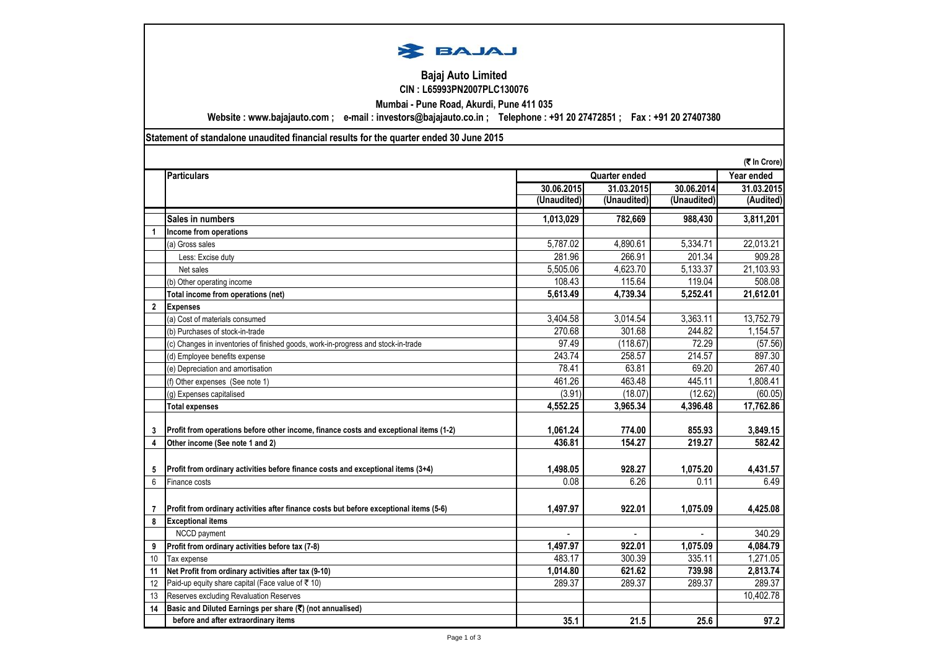

## **Bajaj Auto Limited CIN : L65993PN2007PLC130076**

**Mumbai - Pune Road, Akurdi, Pune 411 035**

**Website : www.bajajauto.com ; e-mail : investors@bajajauto.co.in ; Telephone : +91 20 27472851 ; Fax : +91 20 27407380**

**Statement of standalone unaudited financial results for the quarter ended 30 June 2015**

|                | (₹ In Crore)                                                                           |                      |             |             |            |
|----------------|----------------------------------------------------------------------------------------|----------------------|-------------|-------------|------------|
|                | <b>Particulars</b>                                                                     | <b>Quarter ended</b> |             |             | Year ended |
|                |                                                                                        | 30.06.2015           | 31.03.2015  | 30.06.2014  | 31.03.2015 |
|                |                                                                                        | (Unaudited)          | (Unaudited) | (Unaudited) | (Audited)  |
|                | Sales in numbers                                                                       | 1,013,029            | 782,669     | 988,430     | 3,811,201  |
| $\overline{1}$ | Income from operations                                                                 |                      |             |             |            |
|                | (a) Gross sales                                                                        | 5,787.02             | 4,890.61    | 5,334.71    | 22,013.21  |
|                | Less: Excise duty                                                                      | 281.96               | 266.91      | 201.34      | 909.28     |
|                | Net sales                                                                              | 5,505.06             | 4,623.70    | 5,133.37    | 21,103.93  |
|                | (b) Other operating income                                                             | 108.43               | 115.64      | 119.04      | 508.08     |
|                | Total income from operations (net)                                                     | 5,613.49             | 4,739.34    | 5,252.41    | 21,612.01  |
| $\overline{2}$ | <b>Expenses</b>                                                                        |                      |             |             |            |
|                | (a) Cost of materials consumed                                                         | 3,404.58             | 3,014.54    | 3,363.11    | 13,752.79  |
|                | (b) Purchases of stock-in-trade                                                        | 270.68               | 301.68      | 244.82      | 1,154.57   |
|                | (c) Changes in inventories of finished goods, work-in-progress and stock-in-trade      | 97.49                | (118.67)    | 72.29       | (57.56)    |
|                | (d) Employee benefits expense                                                          | 243.74               | 258.57      | 214.57      | 897.30     |
|                | (e) Depreciation and amortisation                                                      | 78.41                | 63.81       | 69.20       | 267.40     |
|                | (f) Other expenses (See note 1)                                                        | 461.26               | 463.48      | 445.11      | 1,808.41   |
|                | (g) Expenses capitalised                                                               | (3.91)               | (18.07)     | (12.62)     | (60.05)    |
|                | <b>Total expenses</b>                                                                  | 4,552.25             | 3,965.34    | 4,396.48    | 17,762.86  |
| 3              | Profit from operations before other income, finance costs and exceptional items (1-2)  | 1,061.24             | 774.00      | 855.93      | 3,849.15   |
| 4              | Other income (See note 1 and 2)                                                        | 436.81               | 154.27      | 219.27      | 582.42     |
|                |                                                                                        |                      |             |             |            |
| 5              | Profit from ordinary activities before finance costs and exceptional items (3+4)       | 1,498.05             | 928.27      | 1.075.20    | 4,431.57   |
| 6              | Finance costs                                                                          | 0.08                 | 6.26        | 0.11        | 6.49       |
|                |                                                                                        |                      |             |             |            |
| $\overline{7}$ | Profit from ordinary activities after finance costs but before exceptional items (5-6) | 1,497.97             | 922.01      | 1,075.09    | 4,425.08   |
| 8              | <b>Exceptional items</b>                                                               |                      |             |             |            |
|                | NCCD payment                                                                           |                      |             |             | 340.29     |
| 9              | Profit from ordinary activities before tax (7-8)                                       | 1,497.97             | 922.01      | 1,075.09    | 4,084.79   |
| 10             | Tax expense                                                                            | 483.17               | 300.39      | 335.11      | 1,271.05   |
| 11             | Net Profit from ordinary activities after tax (9-10)                                   | 1,014.80             | 621.62      | 739.98      | 2,813.74   |
| 12             | Paid-up equity share capital (Face value of ₹ 10)                                      | 289.37               | 289.37      | 289.37      | 289.37     |
| 13             | Reserves excluding Revaluation Reserves                                                |                      |             |             | 10,402.78  |
| 14             | Basic and Diluted Earnings per share (₹) (not annualised)                              |                      |             |             |            |
|                | before and after extraordinary items                                                   | 35.1                 | 21.5        | 25.6        | 97.2       |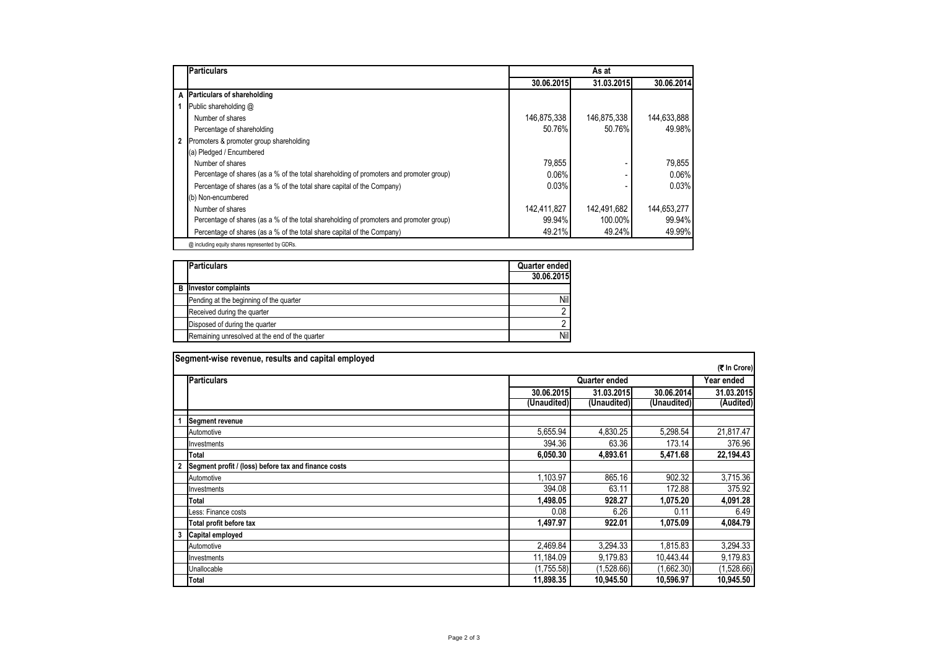| <b>Particulars</b>                                                                      | As at       |             |             |  |  |  |
|-----------------------------------------------------------------------------------------|-------------|-------------|-------------|--|--|--|
|                                                                                         | 30.06.2015  | 31.03.2015  | 30.06.2014  |  |  |  |
| A Particulars of shareholding                                                           |             |             |             |  |  |  |
| Public shareholding @                                                                   |             |             |             |  |  |  |
| Number of shares                                                                        | 146,875,338 | 146,875,338 | 144,633,888 |  |  |  |
| Percentage of shareholding                                                              | 50.76%      | 50.76%      | 49.98%      |  |  |  |
| 2 Promoters & promoter group shareholding                                               |             |             |             |  |  |  |
| (a) Pledged / Encumbered                                                                |             |             |             |  |  |  |
| Number of shares                                                                        | 79.855      |             | 79.855      |  |  |  |
| Percentage of shares (as a % of the total shareholding of promoters and promoter group) | 0.06%       |             | $0.06\%$    |  |  |  |
| Percentage of shares (as a % of the total share capital of the Company)                 | 0.03%       |             | 0.03%       |  |  |  |
| (b) Non-encumbered                                                                      |             |             |             |  |  |  |
| Number of shares                                                                        | 142,411,827 | 142,491,682 | 144.653.277 |  |  |  |
| Percentage of shares (as a % of the total shareholding of promoters and promoter group) | 99.94%      | 100.00%     | 99.94%      |  |  |  |
| Percentage of shares (as a % of the total share capital of the Company)                 | 49.21%      | 49.24%      | 49.99%      |  |  |  |
| @ including equity shares represented by GDRs.                                          |             |             |             |  |  |  |

| <b>Particulars</b>                             | Quarter ended<br>30.06.2015 |
|------------------------------------------------|-----------------------------|
| <b>B</b> Investor complaints                   |                             |
| Pending at the beginning of the quarter        | Nil                         |
| Received during the quarter                    |                             |
| Disposed of during the quarter                 |                             |
| Remaining unresolved at the end of the quarter | Nil                         |

| Segment-wise revenue, results and capital employed |                                                      |                      |             |             |            |  |
|----------------------------------------------------|------------------------------------------------------|----------------------|-------------|-------------|------------|--|
|                                                    | (₹ In Crore)                                         |                      |             |             |            |  |
|                                                    | <b>Particulars</b>                                   | <b>Quarter ended</b> |             |             | Year ended |  |
|                                                    |                                                      | 30.06.2015           | 31.03.2015  | 30.06.2014  | 31.03.2015 |  |
|                                                    |                                                      | (Unaudited)          | (Unaudited) | (Unaudited) | (Audited)  |  |
|                                                    | <b>Segment revenue</b>                               |                      |             |             |            |  |
|                                                    | Automotive                                           | 5,655.94             | 4,830.25    | 5,298.54    | 21,817.47  |  |
|                                                    | Investments                                          | 394.36               | 63.36       | 173.14      | 376.96     |  |
|                                                    | Total                                                | 6,050.30             | 4,893.61    | 5,471.68    | 22,194.43  |  |
|                                                    | Segment profit / (loss) before tax and finance costs |                      |             |             |            |  |
|                                                    | Automotive                                           | 1.103.97             | 865.16      | 902.32      | 3,715.36   |  |
|                                                    | Investments                                          | 394.08               | 63.11       | 172.88      | 375.92     |  |
|                                                    | <b>Total</b>                                         | 1,498.05             | 928.27      | 1,075.20    | 4,091.28   |  |
|                                                    | Less: Finance costs                                  | 0.08                 | 6.26        | 0.11        | 6.49       |  |
|                                                    | Total profit before tax                              | 1,497.97             | 922.01      | 1,075.09    | 4,084.79   |  |
|                                                    | Capital employed                                     |                      |             |             |            |  |
|                                                    | Automotive                                           | 2,469.84             | 3,294.33    | 1.815.83    | 3,294.33   |  |
|                                                    | Investments                                          | 11,184.09            | 9,179.83    | 10,443.44   | 9,179.83   |  |
|                                                    | Unallocable                                          | (1,755.58)           | (1,528.66)  | (1,662.30)  | (1,528.66) |  |
|                                                    | <b>Total</b>                                         | 11,898.35            | 10.945.50   | 10,596.97   | 10,945.50  |  |